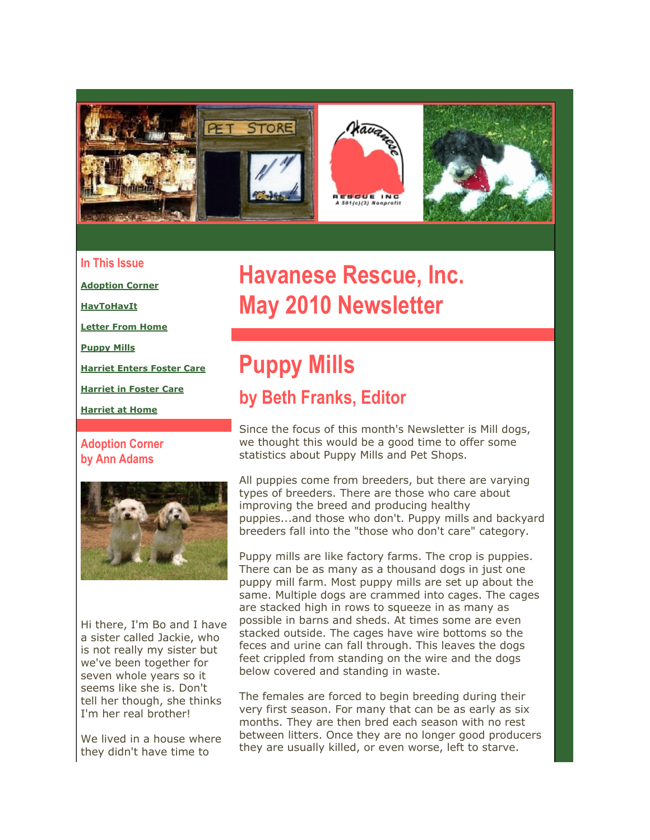

### **In This Issue**

**[Adoption Corner](https://mail.google.com/mail/?ui=2&view=bsp&ver=ohhl4rw8mbn4#128a359d94b135bc_LETTER.BLOCK4)**

**[HavToHavIt](https://mail.google.com/mail/?ui=2&view=bsp&ver=ohhl4rw8mbn4#128a359d94b135bc_LETTER.BLOCK6)**

**[Letter From Home](https://mail.google.com/mail/?ui=2&view=bsp&ver=ohhl4rw8mbn4#128a359d94b135bc_LETTER.BLOCK8)**

**[Puppy Mills](https://mail.google.com/mail/?ui=2&view=bsp&ver=ohhl4rw8mbn4#128a359d94b135bc_LETTER.BLOCK24)**

**[Harriet Enters Foster Care](https://mail.google.com/mail/?ui=2&view=bsp&ver=ohhl4rw8mbn4#128a359d94b135bc_LETTER.BLOCK15)**

**[Harriet in Foster Care](https://mail.google.com/mail/?ui=2&view=bsp&ver=ohhl4rw8mbn4#128a359d94b135bc_LETTER.BLOCK17)**

**[Harriet at Home](https://mail.google.com/mail/?ui=2&view=bsp&ver=ohhl4rw8mbn4#128a359d94b135bc_LETTER.BLOCK19)**

**Adoption Corner by Ann Adams**



Hi there, I'm Bo and I have a sister called Jackie, who is not really my sister but we've been together for seven whole years so it seems like she is. Don't tell her though, she thinks I'm her real brother!

We lived in a house where they didn't have time to

# **Havanese Rescue, Inc. May 2010 Newsletter**

## **Puppy Mills by Beth Franks, Editor**

Since the focus of this month's Newsletter is Mill dogs, we thought this would be a good time to offer some statistics about Puppy Mills and Pet Shops.

All puppies come from breeders, but there are varying types of breeders. There are those who care about improving the breed and producing healthy puppies...and those who don't. Puppy mills and backyard breeders fall into the "those who don't care" category.

Puppy mills are like factory farms. The crop is puppies. There can be as many as a thousand dogs in just one puppy mill farm. Most puppy mills are set up about the same. Multiple dogs are crammed into cages. The cages are stacked high in rows to squeeze in as many as possible in barns and sheds. At times some are even stacked outside. The cages have wire bottoms so the feces and urine can fall through. This leaves the dogs feet crippled from standing on the wire and the dogs below covered and standing in waste.

The females are forced to begin breeding during their very first season. For many that can be as early as six months. They are then bred each season with no rest between litters. Once they are no longer good producers they are usually killed, or even worse, left to starve.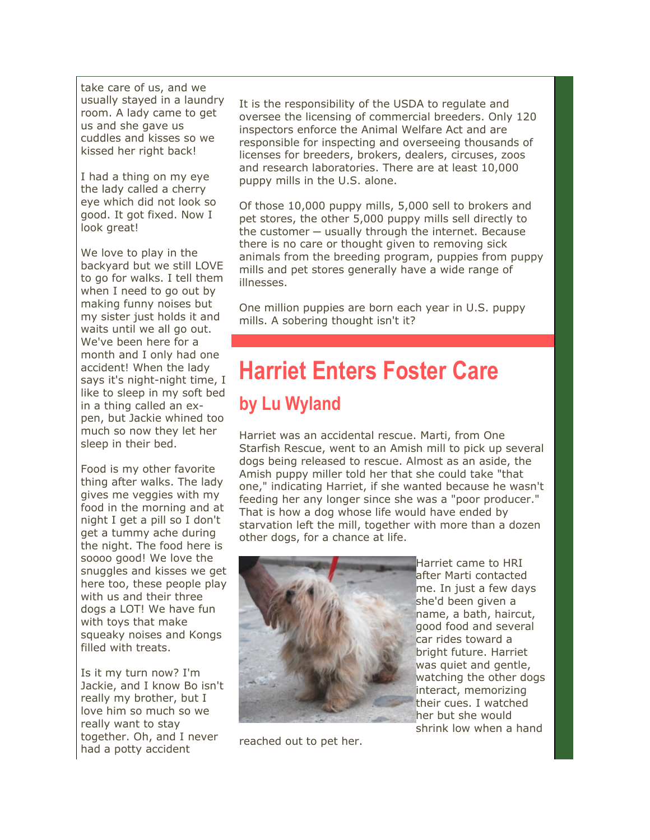take care of us, and we usually stayed in a laundry room. A lady came to get us and she gave us cuddles and kisses so we kissed her right back!

I had a thing on my eye the lady called a cherry eye which did not look so good. It got fixed. Now I look great!

We love to play in the backyard but we still LOVE to go for walks. I tell them when I need to go out by making funny noises but my sister just holds it and waits until we all go out. We've been here for a month and I only had one accident! When the lady says it's night-night time, I like to sleep in my soft bed in a thing called an expen, but Jackie whined too much so now they let her sleep in their bed.

Food is my other favorite thing after walks. The lady gives me veggies with my food in the morning and at night I get a pill so I don't get a tummy ache during the night. The food here is soooo good! We love the snuggles and kisses we get here too, these people play with us and their three dogs a LOT! We have fun with toys that make squeaky noises and Kongs filled with treats.

Is it my turn now? I'm Jackie, and I know Bo isn't really my brother, but I love him so much so we really want to stay together. Oh, and I never had a potty accident

It is the responsibility of the USDA to regulate and oversee the licensing of commercial breeders. Only 120 inspectors enforce the Animal Welfare Act and are responsible for inspecting and overseeing thousands of licenses for breeders, brokers, dealers, circuses, zoos and research laboratories. There are at least 10,000 puppy mills in the U.S. alone.

Of those 10,000 puppy mills, 5,000 sell to brokers and pet stores, the other 5,000 puppy mills sell directly to the customer  $-$  usually through the internet. Because there is no care or thought given to removing sick animals from the breeding program, puppies from puppy mills and pet stores generally have a wide range of illnesses.

One million puppies are born each year in U.S. puppy mills. A sobering thought isn't it?

# **Harriet Enters Foster Care by Lu Wyland**

Harriet was an accidental rescue. Marti, from One Starfish Rescue, went to an Amish mill to pick up several dogs being released to rescue. Almost as an aside, the Amish puppy miller told her that she could take "that one," indicating Harriet, if she wanted because he wasn't feeding her any longer since she was a "poor producer." That is how a dog whose life would have ended by starvation left the mill, together with more than a dozen other dogs, for a chance at life.



Harriet came to HRI after Marti contacted me. In just a few days she'd been given a name, a bath, haircut, good food and several car rides toward a bright future. Harriet was quiet and gentle, watching the other dogs interact, memorizing their cues. I watched her but she would shrink low when a hand

reached out to pet her.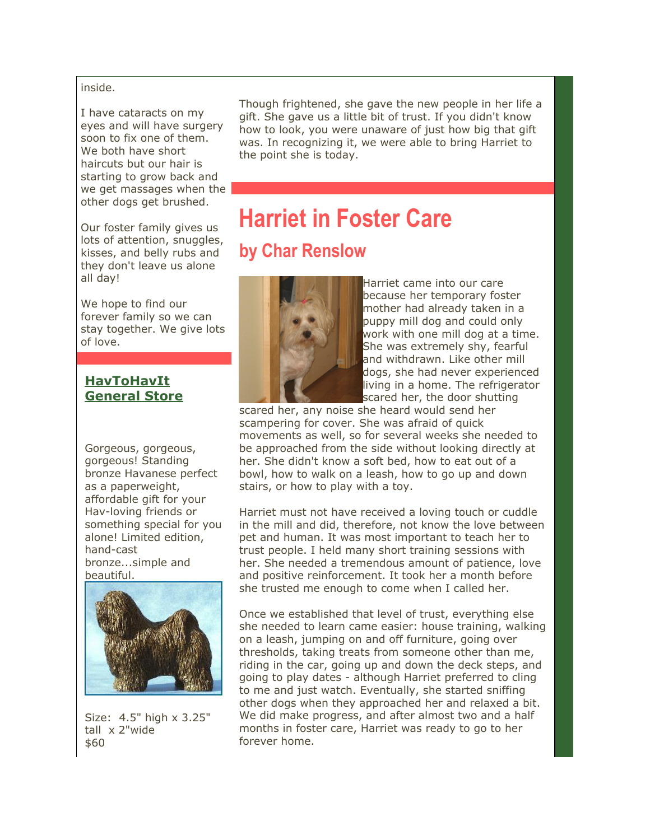inside.

I have cataracts on my eyes and will have surgery soon to fix one of them. We both have short haircuts but our hair is starting to grow back and we get massages when the other dogs get brushed.

Our foster family gives us lots of attention, snuggles, kisses, and belly rubs and they don't leave us alone all day!

We hope to find our forever family so we can stay together. We give lots of love.

### **[HavToHavIt](http://r20.rs6.net/tn.jsp?et=1103399810665&s=2126&e=001JKa58GLNlO6MKi4AJw3o31uA08P2znDb_oqM7IJA26jVgi5KUFcrLVyeF8okGRrqohmmojTpSjM4cwQIK2PUa0hU6aDPvm8BOkiMhdkRDibHPQCG88SHXQ==) [General Store](http://r20.rs6.net/tn.jsp?et=1103399810665&s=2126&e=001JKa58GLNlO6MKi4AJw3o31uA08P2znDb_oqM7IJA26jVgi5KUFcrLVyeF8okGRrqohmmojTpSjM4cwQIK2PUa0hU6aDPvm8BOkiMhdkRDibHPQCG88SHXQ==)**

Gorgeous, gorgeous, gorgeous! Standing bronze Havanese perfect as a paperweight, affordable gift for your Hav-loving friends or something special for you alone! Limited edition, hand-cast bronze...simple and beautiful.



Size: 4.5" high x 3.25" tall x 2"wide \$60

Though frightened, she gave the new people in her life a gift. She gave us a little bit of trust. If you didn't know how to look, you were unaware of just how big that gift was. In recognizing it, we were able to bring Harriet to the point she is today.

## **Harriet in Foster Care by Char Renslow**



Harriet came into our care because her temporary foster mother had already taken in a puppy mill dog and could only work with one mill dog at a time. She was extremely shy, fearful and withdrawn. Like other mill dogs, she had never experienced living in a home. The refrigerator scared her, the door shutting

scared her, any noise she heard would send her scampering for cover. She was afraid of quick movements as well, so for several weeks she needed to be approached from the side without looking directly at her. She didn't know a soft bed, how to eat out of a bowl, how to walk on a leash, how to go up and down stairs, or how to play with a toy.

Harriet must not have received a loving touch or cuddle in the mill and did, therefore, not know the love between pet and human. It was most important to teach her to trust people. I held many short training sessions with her. She needed a tremendous amount of patience, love and positive reinforcement. It took her a month before she trusted me enough to come when I called her.

Once we established that level of trust, everything else she needed to learn came easier: house training, walking on a leash, jumping on and off furniture, going over thresholds, taking treats from someone other than me, riding in the car, going up and down the deck steps, and going to play dates - although Harriet preferred to cling to me and just watch. Eventually, she started sniffing other dogs when they approached her and relaxed a bit. We did make progress, and after almost two and a half months in foster care, Harriet was ready to go to her forever home.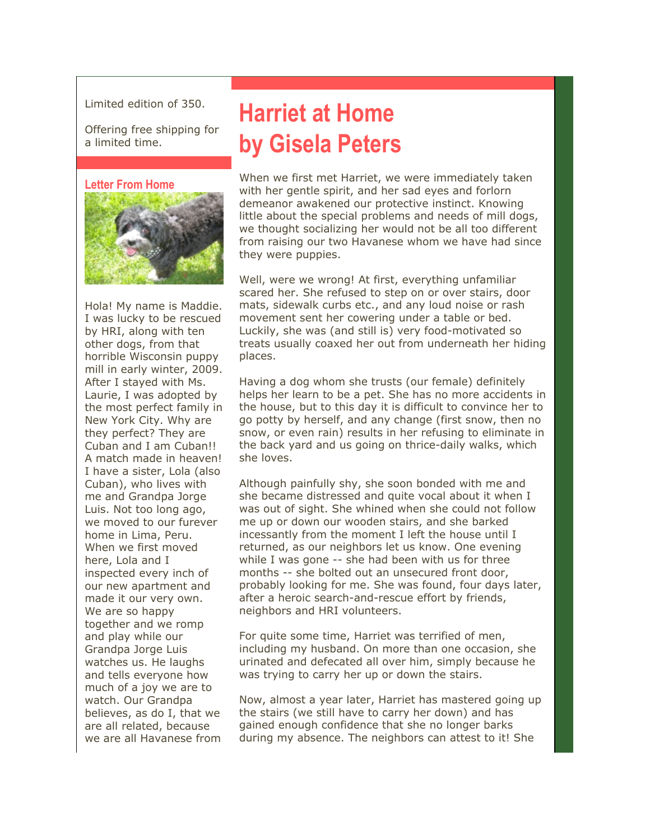Limited edition of 350.

Offering free shipping for a limited time.

#### **Letter From Home**



Hola! My name is Maddie. I was lucky to be rescued by HRI, along with ten other dogs, from that horrible Wisconsin puppy mill in early winter, 2009. After I stayed with Ms. Laurie, I was adopted by the most perfect family in New York City. Why are they perfect? They are Cuban and I am Cuban!! A match made in heaven! I have a sister, Lola (also Cuban), who lives with me and Grandpa Jorge Luis. Not too long ago, we moved to our furever home in Lima, Peru. When we first moved here, Lola and I inspected every inch of our new apartment and made it our very own. We are so happy together and we romp and play while our Grandpa Jorge Luis watches us. He laughs and tells everyone how much of a joy we are to watch. Our Grandpa believes, as do I, that we are all related, because we are all Havanese from

## **Harriet at Home by Gisela Peters**

When we first met Harriet, we were immediately taken with her gentle spirit, and her sad eyes and forlorn demeanor awakened our protective instinct. Knowing little about the special problems and needs of mill dogs, we thought socializing her would not be all too different from raising our two Havanese whom we have had since they were puppies.

Well, were we wrong! At first, everything unfamiliar scared her. She refused to step on or over stairs, door mats, sidewalk curbs etc., and any loud noise or rash movement sent her cowering under a table or bed. Luckily, she was (and still is) very food-motivated so treats usually coaxed her out from underneath her hiding places.

Having a dog whom she trusts (our female) definitely helps her learn to be a pet. She has no more accidents in the house, but to this day it is difficult to convince her to go potty by herself, and any change (first snow, then no snow, or even rain) results in her refusing to eliminate in the back yard and us going on thrice-daily walks, which she loves.

Although painfully shy, she soon bonded with me and she became distressed and quite vocal about it when I was out of sight. She whined when she could not follow me up or down our wooden stairs, and she barked incessantly from the moment I left the house until I returned, as our neighbors let us know. One evening while I was gone -- she had been with us for three months -- she bolted out an unsecured front door, probably looking for me. She was found, four days later, after a heroic search-and-rescue effort by friends, neighbors and HRI volunteers.

For quite some time, Harriet was terrified of men, including my husband. On more than one occasion, she urinated and defecated all over him, simply because he was trying to carry her up or down the stairs.

Now, almost a year later, Harriet has mastered going up the stairs (we still have to carry her down) and has gained enough confidence that she no longer barks during my absence. The neighbors can attest to it! She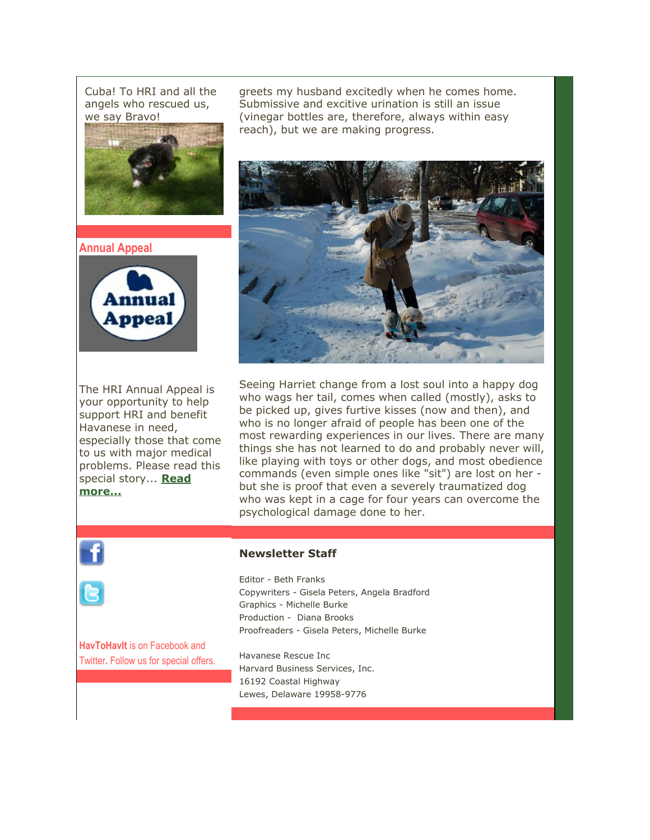Cuba! To HRI and all the angels who rescued us, we say Bravo!



**Annual Appeal**



The HRI Annual Appeal is your opportunity to help support HRI and benefit Havanese in need, especially those that come to us with major medical problems. Please read this special story... **[Read](http://r20.rs6.net/tn.jsp?et=1103399810665&s=2126&e=001JKa58GLNlO5HK4-1FDZa9l94rwtBe8YX8Td50InzuHxYqyo5V-I5pDJkWXgAlySuRsL4n-sT4ErJ7UevKpF_1-w39XxV-BRsIJwJJe2S9naMVrNiCGwPkLWcSWKJT-LYHWr2zw5ae1G8ZJ0MqXX-lTrW73OHzbq-3yrMVVM7FqR6D9h7QIToAxRQl6lkXrWkb_yfBkIfxkw7t0IspUqQlk2chJVnB9MR7R0xNaKullAy-Tlj-jzn8A==) [more...](http://r20.rs6.net/tn.jsp?et=1103399810665&s=2126&e=001JKa58GLNlO5HK4-1FDZa9l94rwtBe8YX8Td50InzuHxYqyo5V-I5pDJkWXgAlySuRsL4n-sT4ErJ7UevKpF_1-w39XxV-BRsIJwJJe2S9naMVrNiCGwPkLWcSWKJT-LYHWr2zw5ae1G8ZJ0MqXX-lTrW73OHzbq-3yrMVVM7FqR6D9h7QIToAxRQl6lkXrWkb_yfBkIfxkw7t0IspUqQlk2chJVnB9MR7R0xNaKullAy-Tlj-jzn8A==)**

greets my husband excitedly when he comes home. Submissive and excitive urination is still an issue (vinegar bottles are, therefore, always within easy reach), but we are making progress.



Seeing Harriet change from a lost soul into a happy dog who wags her tail, comes when called (mostly), asks to be picked up, gives furtive kisses (now and then), and who is no longer afraid of people has been one of the most rewarding experiences in our lives. There are many things she has not learned to do and probably never will, like playing with toys or other dogs, and most obedience commands (even simple ones like "sit") are lost on her but she is proof that even a severely traumatized dog who was kept in a cage for four years can overcome the psychological damage done to her.



### **Newsletter Staff**

Editor - Beth Franks Copywriters - Gisela Peters, Angela Bradford Graphics - Michelle Burke Production - Diana Brooks Proofreaders - Gisela Peters, Michelle Burke

**HavToHavIt** is on Facebook and Twitter**.** Follow us for special offers.

Havanese Rescue Inc Harvard Business Services, Inc. 16192 Coastal Highway Lewes, Delaware 19958-9776